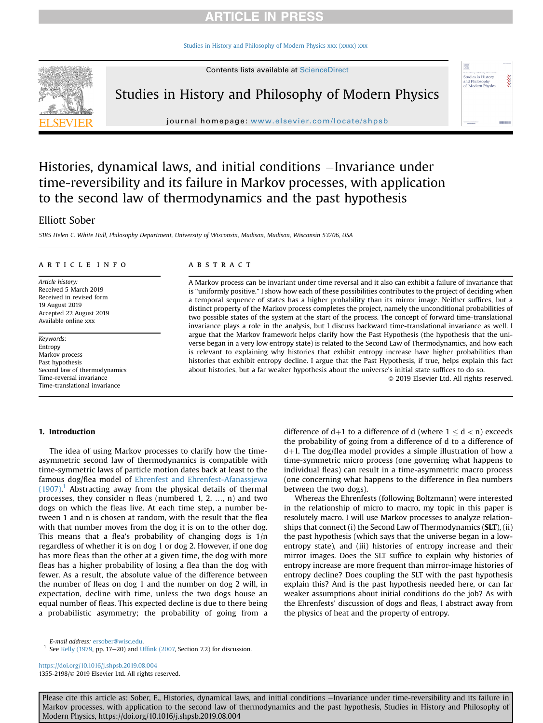[Studies in History and Philosophy of Modern Physics xxx \(xxxx\) xxx](https://doi.org/10.1016/j.shpsb.2019.08.004)



Studies in History and Philosophy of Modern Physics

journal homepage: <www.elsevier.com/locate/shpsb>

# Histories, dynamical laws, and initial conditions - Invariance under time-reversibility and its failure in Markov processes, with application to the second law of thermodynamics and the past hypothesis

# Elliott Sober

5185 Helen C. White Hall, Philosophy Department, University of Wisconsin, Madison, Madison, Wisconsin 53706, USA

### article info

Article history: Received 5 March 2019 Received in revised form 19 August 2019 Accepted 22 August 2019 Available online xxx

Keywords: Entropy Markov process Past hypothesis Second law of thermodynamics Time-reversal invariance Time-translational invariance

### **ABSTRACT**

A Markov process can be invariant under time reversal and it also can exhibit a failure of invariance that is "uniformly positive." I show how each of these possibilities contributes to the project of deciding when a temporal sequence of states has a higher probability than its mirror image. Neither suffices, but a distinct property of the Markov process completes the project, namely the unconditional probabilities of two possible states of the system at the start of the process. The concept of forward time-translational invariance plays a role in the analysis, but I discuss backward time-translational invariance as well. I argue that the Markov framework helps clarify how the Past Hypothesis (the hypothesis that the universe began in a very low entropy state) is related to the Second Law of Thermodynamics, and how each is relevant to explaining why histories that exhibit entropy increase have higher probabilities than histories that exhibit entropy decline. I argue that the Past Hypothesis, if true, helps explain this fact about histories, but a far weaker hypothesis about the universe's initial state suffices to do so.

© 2019 Elsevier Ltd. All rights reserved.

Subciding minimage of Southern<br>Studies in History<br>and Philosophy<br>of Modern Physics

uu

# 1. Introduction

The idea of using Markov processes to clarify how the timeasymmetric second law of thermodynamics is compatible with time-symmetric laws of particle motion dates back at least to the famous dog/flea model of [Ehrenfest and Ehrenfest-Afanassjewa](#page-5-0)  $(1907)^{1}$  $(1907)^{1}$  Abstracting away from the physical details of thermal processes, they consider n fleas (numbered 1, 2, …, n) and two dogs on which the fleas live. At each time step, a number between 1 and n is chosen at random, with the result that the flea with that number moves from the dog it is on to the other dog. This means that a flea's probability of changing dogs is  $1/n$ regardless of whether it is on dog 1 or dog 2. However, if one dog has more fleas than the other at a given time, the dog with more fleas has a higher probability of losing a flea than the dog with fewer. As a result, the absolute value of the difference between the number of fleas on dog 1 and the number on dog 2 will, in expectation, decline with time, unless the two dogs house an equal number of fleas. This expected decline is due to there being a probabilistic asymmetry; the probability of going from a difference of d+1 to a difference of d (where  $1 \leq d < n$ ) exceeds the probability of going from a difference of d to a difference of  $d+1$ . The dog/flea model provides a simple illustration of how a time-symmetric micro process (one governing what happens to individual fleas) can result in a time-asymmetric macro process (one concerning what happens to the difference in flea numbers between the two dogs).

Whereas the Ehrenfests (following Boltzmann) were interested in the relationship of micro to macro, my topic in this paper is resolutely macro. I will use Markov processes to analyze relationships that connect (i) the Second Law of Thermodynamics (SLT), (ii) the past hypothesis (which says that the universe began in a lowentropy state), and (iii) histories of entropy increase and their mirror images. Does the SLT suffice to explain why histories of entropy increase are more frequent than mirror-image histories of entropy decline? Does coupling the SLT with the past hypothesis explain this? And is the past hypothesis needed here, or can far weaker assumptions about initial conditions do the job? As with the Ehrenfests' discussion of dogs and fleas, I abstract away from the physics of heat and the property of entropy.

E-mail address: [ersober@wisc.edu](mailto:ersober@wisc.edu).

<https://doi.org/10.1016/j.shpsb.2019.08.004> 1355-2198/© 2019 Elsevier Ltd. All rights reserved.

<sup>&</sup>lt;sup>1</sup> See [Kelly \(1979](#page-5-0), pp. 17-20) and Uffi[nk \(2007,](#page-5-0) Section 7.2) for discussion.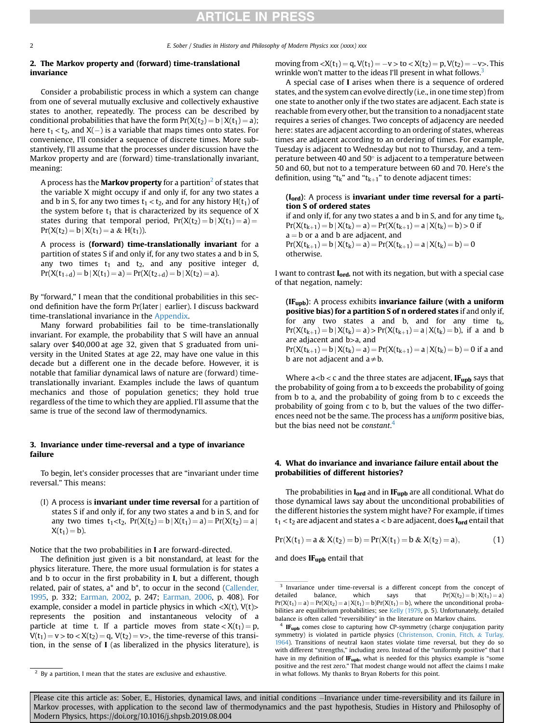2 E. Sober / Studies in History and Philosophy of Modern Physics xxx (xxxx) xxx

# 2. The Markov property and (forward) time-translational invariance

Consider a probabilistic process in which a system can change from one of several mutually exclusive and collectively exhaustive states to another, repeatedly. The process can be described by conditional probabilities that have the form  $Pr(X(t_2) = b | X(t_1) = a);$ here  $t_1 < t_2$ , and  $X(-)$  is a variable that maps times onto states. For convenience, I'll consider a sequence of discrete times. More substantively, I'll assume that the processes under discussion have the Markov property and are (forward) time-translationally invariant, meaning:

A process has the **Markov property** for a partition<sup>2</sup> of states that the variable X might occupy if and only if, for any two states a and b in S, for any two times  $t_1 < t_2$ , and for any history  $H(t_1)$  of the system before  $t_1$  that is characterized by its sequence of X states during that temporal period,  $Pr(X(t_2) = b | X(t_1) = a) =$  $Pr(X(t_2) = b | X(t_1) = a \& H(t_1)).$ 

A process is (forward) time-translationally invariant for a partition of states S if and only if, for any two states a and b in S, any two times  $t_1$  and  $t_2$ , and any positive integer d,  $Pr(X(t_{1+d}) = b | X(t_1) = a) = Pr(X(t_{2+d}) = b | X(t_2) = a).$ 

By "forward," I mean that the conditional probabilities in this second definition have the form Pr(later | earlier). I discuss backward time-translational invariance in the [Appendix](#page-4-0).

Many forward probabilities fail to be time-translationally invariant. For example, the probability that S will have an annual salary over \$40,000 at age 32, given that S graduated from university in the United States at age 22, may have one value in this decade but a different one in the decade before. However, it is notable that familiar dynamical laws of nature are (forward) timetranslationally invariant. Examples include the laws of quantum mechanics and those of population genetics; they hold true regardless of the time to which they are applied. I'll assume that the same is true of the second law of thermodynamics.

## 3. Invariance under time-reversal and a type of invariance failure

To begin, let's consider processes that are "invariant under time reversal." This means:

(I) A process is invariant under time reversal for a partition of states S if and only if, for any two states a and b in S, and for any two times  $t_1 < t_2$ ,  $Pr(X(t_2) = b | X(t_1) = a) = Pr(X(t_2) = a |$  $X(t_1) = b$ ).

Notice that the two probabilities in I are forward-directed.

The definition just given is a bit nonstandard, at least for the physics literature. There, the more usual formulation is for states a and b to occur in the first probability in I, but a different, though related, pair of states, a\* and b\*, to occur in the second [\(Callender,](#page-5-0) [1995,](#page-5-0) p. 332; [Earman, 2002,](#page-5-0) p. 247; [Earman, 2006](#page-5-0), p. 408). For example, consider a model in particle physics in which  $\langle X(t), V(t) \rangle$ represents the position and instantaneous velocity of a particle at time t. If a particle moves from state  $\langle X(t_1) = p$ ,  $V(t_1) = v >$  to  $\langle X(t_2) = q, V(t_2) = v \rangle$ , the time-reverse of this transition, in the sense of I (as liberalized in the physics literature), is moving from  $\langle X(t_1) = q, V(t_1) = -v >$  to  $\langle X(t_2) = p, V(t_2) = -v >$ . This wrinkle won't matter to the ideas I'll present in what follows.<sup>3</sup>

A special case of I arises when there is a sequence of ordered states, and the system can evolve directly (i.e., in one time step) from one state to another only if the two states are adjacent. Each state is reachable from every other, but the transition to a nonadjacent state requires a series of changes. Two concepts of adjacency are needed here: states are adjacent according to an ordering of states, whereas times are adjacent according to an ordering of times. For example, Tuesday is adjacent to Wednesday but not to Thursday, and a temperature between 40 and  $50^\circ$  is adjacent to a temperature between 50 and 60, but not to a temperature between 60 and 70. Here's the definition, using " $t_k$ " and " $t_{k+1}$ " to denote adjacent times:

## $(I_{ord})$ : A process is invariant under time reversal for a partition S of ordered states

if and only if, for any two states a and b in S, and for any time  $t_k$ ,  $Pr(X(t_{k+1}) = b | X(t_k) = a) = Pr(X(t_{k+1}) = a | X(t_k) = b) > 0$  if  $a = b$  or a and b are adjacent, and  $Pr(X(t_{k+1}) = b | X(t_k) = a) = Pr(X(t_{k+1}) = a | X(t_k) = b) = 0$ otherwise.

I want to contrast  $I_{ord}$ , not with its negation, but with a special case of that negation, namely:

 $(IF_{upb})$ : A process exhibits invariance failure (with a uniform positive bias) for a partition S of n ordered states if and only if, for any two states a and b, and for any time  $t_k$ ,  $Pr(X(t_{k+1}) = b | X(t_k) = a)$  >  $Pr(X(t_{k+1}) = a | X(t_k) = b)$ , if a and b are adjacent and b>a, and  $Pr(X(t_{k+1}) = b | X(t_k) = a) = Pr(X(t_{k+1}) = a | X(t_k) = b) = 0$  if a and b are not adjacent and  $a \neq b$ .

Where  $a < b < c$  and the three states are adjacent, IF<sub>uph</sub> says that the probability of going from a to b exceeds the probability of going from b to a, and the probability of going from b to c exceeds the probability of going from c to b, but the values of the two differences need not be the same. The process has a uniform positive bias, but the bias need not be constant.<sup>4</sup>

# 4. What do invariance and invariance failure entail about the probabilities of different histories?

The probabilities in  $I_{ord}$  and in  $IF_{upb}$  are all conditional. What do those dynamical laws say about the unconditional probabilities of the different histories the system might have? For example, if times  $t_1 < t_2$  are adjacent and states a  $< b$  are adjacent, does  $I_{\text{ord}}$  entail that

$$
Pr(X(t_1) = a \& X(t_2) = b) = Pr(X(t_1) = b \& X(t_2) = a),
$$
\n(1)

and does IFupb entail that

<sup>2</sup> By a partition, I mean that the states are exclusive and exhaustive.

<sup>&</sup>lt;sup>3</sup> Invariance under time-reversal is a different concept from the concept of detailed balance, which says that  $Pr(X(t_2) = b | X(t_1) = a)$ detailed balance, which says that  $Pr(X(t_2) = b | X(t_1) = a)$  $Pr(X(t_1) = a) = Pr(X(t_2) = a | X(t_1) = b)Pr(X(t_1) = b)$ , where the unconditional proba-bilities are equilibrium probabilities; see [Kelly \(1979,](#page-5-0) p. 5). Unfortunately, detailed balance is often called "reversibility" in the literature on Markov chains.

 $4$  IF<sub>upb</sub> comes close to capturing how CP-symmetry (charge conjugation parity symmetry) is violated in particle physics [\(Christenson, Cronin, Fitch,](#page-5-0) & [Turlay,](#page-5-0) [1964\)](#page-5-0). Transitions of neutral kaon states violate time reversal, but they do so with different "strengths," including zero. Instead of the "uniformly positive" that I have in my definition of  $IF_{umb}$ , what is needed for this physics example is "some positive and the rest zero." That modest change would not affect the claims I make in what follows. My thanks to Bryan Roberts for this point.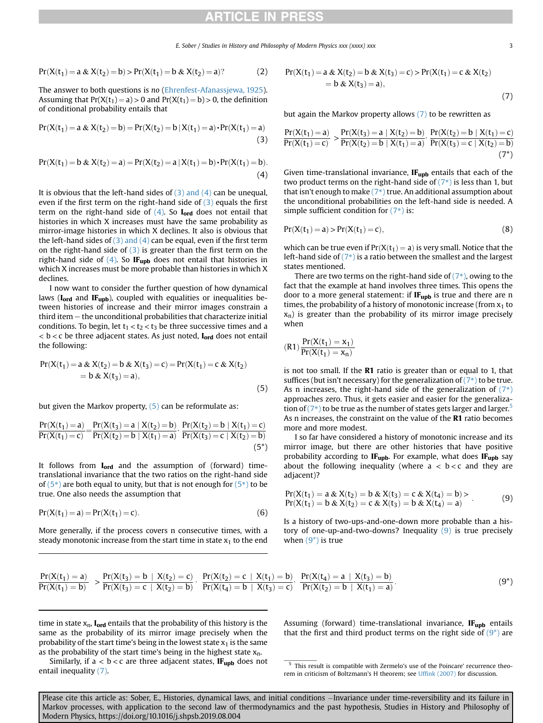E. Sober / Studies in History and Philosophy of Modern Physics xxx (xxxx) xxx 33

<span id="page-2-0"></span>
$$
Pr(X(t_1) = a \& X(t_2) = b) > Pr(X(t_1) = b \& X(t_2) = a)?
$$
 (2)

The answer to both questions is no ([Ehrenfest-Afanassjewa, 1925\)](#page-5-0). Assuming that  $Pr(X(t_1) = a) > 0$  and  $Pr(X(t_1) = b) > 0$ , the definition of conditional probability entails that

$$
Pr(X(t_1) = a \& X(t_2) = b) = Pr(X(t_2) = b | X(t_1) = a) \cdot Pr(X(t_1) = a)
$$
\n(3)

$$
Pr(X(t_1) = b \& X(t_2) = a) = Pr(X(t_2) = a | X(t_1) = b) \cdot Pr(X(t_1) = b).
$$
\n(4)

It is obvious that the left-hand sides of  $(3)$  and  $(4)$  can be unequal, even if the first term on the right-hand side of (3) equals the first term on the right-hand side of  $(4)$ . So  $I_{ord}$  does not entail that histories in which X increases must have the same probability as mirror-image histories in which X declines. It also is obvious that the left-hand sides of  $(3)$  and  $(4)$  can be equal, even if the first term on the right-hand side of  $(3)$  is greater than the first term on the right-hand side of  $(4)$ . So IF<sub>upb</sub> does not entail that histories in which X increases must be more probable than histories in which X declines.

I now want to consider the further question of how dynamical laws ( $I_{\text{ord}}$  and  $IF_{\text{upb}}$ ), coupled with equalities or inequalities between histories of increase and their mirror images constrain a  $third$  item  $-$  the unconditional probabilities that characterize initial conditions. To begin, let  $t_1 < t_2 < t_3$  be three successive times and a  $< b < c$  be three adjacent states. As just noted,  $I_{ord}$  does not entail the following:

$$
Pr(X(t_1) = a \& X(t_2) = b \& X(t_3) = c) = Pr(X(t_1) = c \& X(t_2)
$$
  
= b \& X(t\_3) = a), (5)

but given the Markov property, (5) can be reformulate as:

$$
\frac{\Pr(X(t_1) = a)}{\Pr(X(t_1) = c)} = \frac{\Pr(X(t_3) = a \mid X(t_2) = b)}{\Pr(X(t_2) = b \mid X(t_1) = a)} \cdot \frac{\Pr(X(t_2) = b \mid X(t_1) = c)}{\Pr(X(t_3) = c \mid X(t_2) = b)} \tag{5^*}
$$

It follows from  $I_{ord}$  and the assumption of (forward) timetranslational invariance that the two ratios on the right-hand side of  $(5^*)$  are both equal to unity, but that is not enough for  $(5^*)$  to be true. One also needs the assumption that

$$
Pr(X(t_1) = a) = Pr(X(t_1) = c).
$$
 (6)

More generally, if the process covers n consecutive times, with a steady monotonic increase from the start time in state  $x_1$  to the end

$$
Pr(X(t_1) = a \& X(t_2) = b \& X(t_3) = c) > Pr(X(t_1) = c \& X(t_2)
$$
  
= b \& X(t\_3) = a), (7)

but again the Markov property allows (7) to be rewritten as

$$
\frac{\text{Pr}(X(t_1)=a)}{\text{Pr}(X(t_1)=c)} > \frac{\text{Pr}(X(t_3)=a \mid X(t_2)=b)}{\text{Pr}(X(t_2)=b \mid X(t_1)=a)} \cdot \frac{\text{Pr}(X(t_2)=b \mid X(t_1)=c)}{\text{Pr}(X(t_3)=c \mid X(t_2)=b)} \cdot \frac{\text{Pr}(X(t_1)=c \mid X(t_1)=c)}{\text{Pr}(X(t_2)=b)} \cdot \frac{\text{Pr}(X(t_2)=b \mid X(t_2)=b)}{\text{Pr}(X(t_3)=c \mid X(t_2)=b)} \cdot \frac{\text{Pr}(X(t_3)=c \mid X(t_3)=c \mid X(t_3)=c)}{\text{Pr}(X(t_3)=c \mid X(t_3)=c \mid X(t_3)=b)} \cdot \frac{\text{Pr}(X(t_3)=b \mid X(t_3)=c \mid X(t_3)=c)}{\text{Pr}(X(t_3)=c \mid X(t_3)=c \mid X(t_3)=b)}
$$

Given time-translational invariance,  $IF_{upb}$  entails that each of the two product terms on the right-hand side of  $(7^*)$  is less than 1, but that isn't enough to make  $(7^*)$  true. An additional assumption about the unconditional probabilities on the left-hand side is needed. A simple sufficient condition for  $(7^*)$  is:

$$
Pr(X(t_1) = a) > Pr(X(t_1) = c),
$$
\n(8)

which can be true even if  $Pr(X(t_1) = a)$  is very small. Notice that the left-hand side of  $(7^*)$  is a ratio between the smallest and the largest states mentioned.

There are two terms on the right-hand side of  $(7^*)$ , owing to the fact that the example at hand involves three times. This opens the door to a more general statement: if  $IF_{upb}$  is true and there are n times, the probability of a history of monotonic increase (from  $x_1$  to  $x_n$ ) is greater than the probability of its mirror image precisely when

$$
(R1)\frac{Pr(X(t_1)=x_1)}{Pr(X(t_1)=x_n)}
$$

is not too small. If the  $R1$  ratio is greater than or equal to 1, that suffices (but isn't necessary) for the generalization of  $(7^*)$  to be true. As n increases, the right-hand side of the generalization of  $(7^*)$ approaches zero. Thus, it gets easier and easier for the generalization of  $(7^*)$  to be true as the number of states gets larger and larger.<sup>5</sup> As n increases, the constraint on the value of the R1 ratio becomes more and more modest.

I so far have considered a history of monotonic increase and its mirror image, but there are other histories that have positive probability according to  $IF_{upb}$ . For example, what does  $IF_{upb}$  say about the following inequality (where  $a < b < c$  and they are adjacent)?

$$
\Pr(X(t_1) = a \& X(t_2) = b \& X(t_3) = c \& X(t_4) = b) > \Pr(X(t_1) = b \& X(t_2) = c \& X(t_3) = b \& X(t_4) = a)
$$
\n(9)

Is a history of two-ups-and-one-down more probable than a history of one-up-and-two-downs? Inequality (9) is true precisely when  $(9^*)$  is true

$$
\frac{\Pr(X(t_1) = a)}{\Pr(X(t_1) = b)} \Rightarrow \frac{\Pr(X(t_3) = b \mid X(t_2) = c)}{\Pr(X(t_3) = c \mid X(t_2) = b)} \cdot \frac{\Pr(X(t_2) = c \mid X(t_1) = b)}{\Pr(X(t_4) = b \mid X(t_3) = c)} \cdot \frac{\Pr(X(t_4) = a \mid X(t_3) = b)}{\Pr(X(t_2) = b \mid X(t_1) = a)} \cdot \frac{\Pr(X(t_3) = b \mid X(t_3) = c \mid X(t_3) = b)}{\Pr(X(t_3) = b \mid X(t_3) = c)} \cdot \frac{\Pr(X(t_4) = a \mid X(t_4) = a \mid X(t_4) = b)}{\Pr(X(t_4) = b \mid X(t_4) = b)} \cdot \frac{\Pr(X(t_4) = a \mid X(t_4) = b)}{\Pr(X(t_4) = b \mid X(t_4) = b)} \cdot \frac{\Pr(X(t_4) = a \mid X(t_4) = b)}{\Pr(X(t_4) = b \mid X(t_4) = b)} \cdot \frac{\Pr(X(t_4) = a \mid X(t_4) = b)}{\Pr(X(t_4) = b \mid X(t_4) = b)} \cdot \frac{\Pr(X(t_4) = a \mid X(t_4) = b \mid X(t_4) = b)}{\Pr(X(t_4) = b \mid X(t_4) = b)} \cdot \frac{\Pr(X(t_4) = a \mid X(t_4) = b \mid X(t_4) = a)}{\Pr(X(t_4) = b \mid X(t_4) = b)} \cdot \frac{\Pr(X(t_4) = a \mid X(t_4) = a \mid X(t_4) = a)}{\Pr(X(t_4) = b \mid X(t_4) = b)} \cdot \frac{\Pr(X(t_4) = a \mid X(t_4) = a \mid X(t_4) = a)}{\Pr(X(t_4) = b \mid X(t_4) = b)} \cdot \frac{\Pr(X(t_4) = a \mid X(t_4) = a \mid X(t_4) = a)}{\Pr(X(t_4) = b \mid X(t_4) = a)} \cdot \frac{\Pr(X(t_4) = a \mid X(t_4) = a \mid X(t_4) = a)}{\Pr(X(t_4) = b \mid X(t_4) = a)} \cdot \frac{\Pr(X(t_4) = a \mid X(t_4) = a \mid X(t_4) = a)}{\Pr(X(t_4) = a \mid X(t_4) = a)} \cdot \frac{\Pr(X(t_4) = a \mid X(t_4) = a \mid X(t_
$$

time in state  $x_n$ ,  $I_{ord}$  entails that the probability of this history is the same as the probability of its mirror image precisely when the probability of the start time's being in the lowest state  $x_1$  is the same as the probability of the start time's being in the highest state  $x_n$ .

Similarly, if  $a < b < c$  are three adjacent states, IF<sub>upb</sub> does not entail inequality (7).

Assuming (forward) time-translational invariance,  $IF_{\text{unb}}$  entails that the first and third product terms on the right side of  $(9^*)$  are

<sup>5</sup> This result is compatible with Zermelo's use of the Poincare' recurrence theorem in criticism of Boltzmann's H theorem; see Uffi[nk \(2007\)](#page-5-0) for discussion.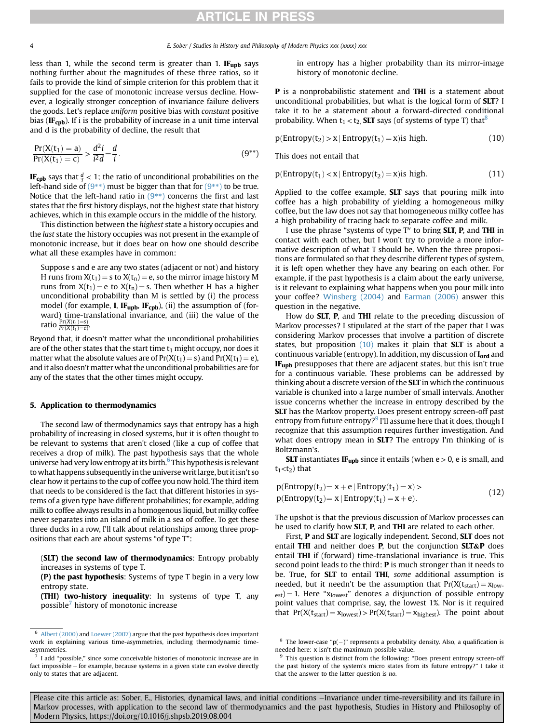less than 1, while the second term is greater than 1.  $IF_{upb}$  says nothing further about the magnitudes of these three ratios, so it fails to provide the kind of simple criterion for this problem that it supplied for the case of monotonic increase versus decline. However, a logically stronger conception of invariance failure delivers the goods. Let's replace uniform positive bias with constant positive bias ( $IF<sub>cob</sub>$ ). If i is the probability of increase in a unit time interval and d is the probability of decline, the result that

$$
\frac{\Pr(X(t_1) = a)}{\Pr(X(t_1) = c)} > \frac{d^2i}{i^2d} = \frac{d}{i}.
$$
\n(9<sup>\*\*</sup>)

**IF<sub>cpb</sub>** says that  $\frac{d}{i} < 1$ ; the ratio of unconditional probabilities on the left-hand side of  $(9^{**})$  must be bigger than that for  $(9^{**})$  to be true. Notice that the left-hand ratio in  $(9^{**})$  concerns the first and last states that the first history displays, not the highest state that history achieves, which in this example occurs in the middle of the history.

This distinction between the highest state a history occupies and the last state the history occupies was not present in the example of monotonic increase, but it does bear on how one should describe what all these examples have in common:

Suppose s and e are any two states (adjacent or not) and history H runs from  $X(t_1) = s$  to  $X(t_n) = e$ , so the mirror image history M runs from  $X(t_1) = e$  to  $X(t_n) = s$ . Then whether H has a higher unconditional probability than M is settled by (i) the process model (for example, I, IF<sub>upb</sub>, IF<sub>cpb</sub>), (ii) the assumption of (forward) time-translational invariance, and (iii) the value of the ratio  $\frac{\Pr(X(t_1)=s)}{\Pr(X(t_1)=e)}$ 

Beyond that, it doesn't matter what the unconditional probabilities are of the other states that the start time  $t_1$  might occupy, nor does it matter what the absolute values are of  $Pr(X(t_1) = s)$  and  $Pr(X(t_1) = e)$ , and it also doesn't matter what the unconditional probabilities are for any of the states that the other times might occupy.

#### 5. Application to thermodynamics

The second law of thermodynamics says that entropy has a high probability of increasing in closed systems, but it is often thought to be relevant to systems that aren't closed (like a cup of coffee that receives a drop of milk). The past hypothesis says that the whole universe had very low entropy at its birth.<sup>6</sup> This hypothesis is relevant to what happens subsequently in the universe writ large, but it isn't so clear how it pertains to the cup of coffee you now hold. The third item that needs to be considered is the fact that different histories in systems of a given type have different probabilities; for example, adding milk to coffee always results in a homogenous liquid, but milky coffee never separates into an island of milk in a sea of coffee. To get these three ducks in a row, I'll talk about relationships among three propositions that each are about systems "of type T":

(SLT) the second law of thermodynamics: Entropy probably increases in systems of type T.

(P) the past hypothesis: Systems of type T begin in a very low entropy state.

(THI) two-history inequality: In systems of type T, any  $possible'$  history of monotonic increase

in entropy has a higher probability than its mirror-image history of monotonic decline.

**P** is a nonprobabilistic statement and **THI** is a statement about unconditional probabilities, but what is the logical form of SLT? I take it to be a statement about a forward-directed conditional probability. When  $t_1 < t_2$  **SLT** says (of systems of type T) that<sup>8</sup>

$$
p(Entropy(t2) > x | Entropy(t1) = x) is high.
$$
\n(10)

This does not entail that

$$
p(Entropy(t_1) < x | Entropy(t_2) = x) \text{ is high.} \tag{11}
$$

Applied to the coffee example, **SLT** says that pouring milk into coffee has a high probability of yielding a homogeneous milky coffee, but the law does not say that homogeneous milky coffee has a high probability of tracing back to separate coffee and milk.

I use the phrase "systems of type  $T''$  to bring **SLT, P**, and THI in contact with each other, but I won't try to provide a more informative description of what T should be. When the three propositions are formulated so that they describe different types of system, it is left open whether they have any bearing on each other. For example, if the past hypothesis is a claim about the early universe, is it relevant to explaining what happens when you pour milk into your coffee? [Winsberg \(2004\)](#page-5-0) and [Earman \(2006\)](#page-5-0) answer this question in the negative.

How do SLT, P, and THI relate to the preceding discussion of Markov processes? I stipulated at the start of the paper that I was considering Markov processes that involve a partition of discrete states, but proposition  $(10)$  makes it plain that **SLT** is about a continuous variable (entropy). In addition, my discussion of I<sub>ord</sub> and IF<sub>upb</sub> presupposes that there are adjacent states, but this isn't true for a continuous variable. These problems can be addressed by thinking about a discrete version of the SLT in which the continuous variable is chunked into a large number of small intervals. Another issue concerns whether the increase in entropy described by the SLT has the Markov property. Does present entropy screen-off past entropy from future entropy?<sup>9</sup> I'll assume here that it does, though I recognize that this assumption requires further investigation. And what does entropy mean in **SLT**? The entropy I'm thinking of is Boltzmann's.

**SLT** instantiates IF<sub>upb</sub> since it entails (when  $e > 0$ , e is small, and  $t_1$  <  $t_2$ ) that

$$
p(Entropy(t2) = x + e | Entropy(t1) = x) >
$$
  
 
$$
p(Entropy(t2) = x | Entropy(t1) = x + e).
$$
 (12)

The upshot is that the previous discussion of Markov processes can be used to clarify how SLT, P, and THI are related to each other.

First, P and SLT are logically independent. Second, SLT does not entail **THI** and neither does **P**, but the conjunction **SLT&P** does entail THI if (forward) time-translational invariance is true. This second point leads to the third:  $P$  is much stronger than it needs to be. True, for **SLT** to entail **THI**, some additional assumption is needed, but it needn't be the assumption that  $Pr(X(t_{start}) = x_{low}$  $_{est}$ ) = 1. Here " $x_{lowest}$ " denotes a disjunction of possible entropy point values that comprise, say, the lowest 1%. Nor is it required that  $Pr(X(t_{start}) = x_{lowest}) > Pr(X(t_{start}) = x_{highest})$ . The point about

<sup>6</sup> [Albert \(2000\)](#page-5-0) and [Loewer \(2007\)](#page-5-0) argue that the past hypothesis does important work in explaining various time-asymmetries, including thermodynamic timeasymmetries.

 $<sup>7</sup>$  I add "possible," since some conceivable histories of monotonic increase are in</sup> fact impossible - for example, because systems in a given state can evolve directly only to states that are adjacent.

<sup>&</sup>lt;sup>8</sup> The lower-case "p( $-$ )" represents a probability density. Also, a qualification is needed here: x isn't the maximum possible value.

<sup>&</sup>lt;sup>9</sup> This question is distinct from the following: "Does present entropy screen-off the past history of the system's micro states from its future entropy?" I take it that the answer to the latter question is no.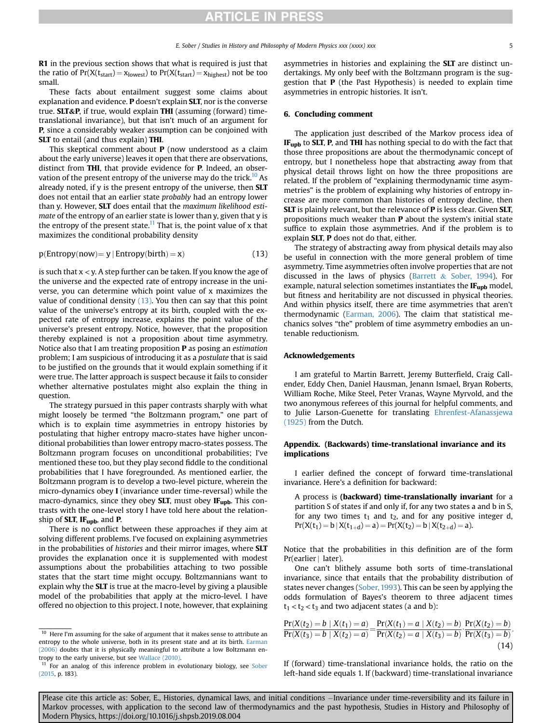<span id="page-4-0"></span>R1 in the previous section shows that what is required is just that the ratio of  $Pr(X(t_{start}) = x_{lowest})$  to  $Pr(X(t_{start}) = x_{highest})$  not be too small.

These facts about entailment suggest some claims about explanation and evidence. P doesn't explain SLT, nor is the converse true. SLT&P, if true, would explain THI (assuming (forward) timetranslational invariance), but that isn't much of an argument for P, since a considerably weaker assumption can be conjoined with SLT to entail (and thus explain) THI.

This skeptical comment about  $P$  (now understood as a claim about the early universe) leaves it open that there are observations, distinct from THI, that provide evidence for P. Indeed, an observation of the present entropy of the universe may do the trick.<sup>10</sup> As already noted, if y is the present entropy of the universe, then **SLT** does not entail that an earlier state probably had an entropy lower than y. However, SLT does entail that the maximum likelihood estimate of the entropy of an earlier state is lower than y, given that y is the entropy of the present state.<sup>11</sup> That is, the point value of x that maximizes the conditional probability density

$$
p(Entropy(now) = y | Entropy(birth) = x)
$$
\n(13)

is such that  $x < y$ . A step further can be taken. If you know the age of the universe and the expected rate of entropy increase in the universe, you can determine which point value of x maximizes the value of conditional density (13). You then can say that this point value of the universe's entropy at its birth, coupled with the expected rate of entropy increase, explains the point value of the universe's present entropy. Notice, however, that the proposition thereby explained is not a proposition about time asymmetry. Notice also that I am treating proposition P as posing an estimation problem; I am suspicious of introducing it as a postulate that is said to be justified on the grounds that it would explain something if it were true. The latter approach is suspect because it fails to consider whether alternative postulates might also explain the thing in question.

The strategy pursued in this paper contrasts sharply with what might loosely be termed "the Boltzmann program," one part of which is to explain time asymmetries in entropy histories by postulating that higher entropy macro-states have higher unconditional probabilities than lower entropy macro-states possess. The Boltzmann program focuses on unconditional probabilities; I've mentioned these too, but they play second fiddle to the conditional probabilities that I have foregrounded. As mentioned earlier, the Boltzmann program is to develop a two-level picture, wherein the micro-dynamics obey I (invariance under time-reversal) while the macro-dynamics, since they obey **SLT**, must obey  $IF_{umb}$ . This contrasts with the one-level story I have told here about the relationship of **SLT**, IF<sub>upb</sub>, and **P**.

There is no conflict between these approaches if they aim at solving different problems. I've focused on explaining asymmetries in the probabilities of *histories* and their mirror images, where **SLT** provides the explanation once it is supplemented with modest assumptions about the probabilities attaching to two possible states that the start time might occupy. Boltzmannians want to explain why the SLT is true at the macro-level by giving a plausible model of the probabilities that apply at the micro-level. I have offered no objection to this project. I note, however, that explaining asymmetries in histories and explaining the SLT are distinct undertakings. My only beef with the Boltzmann program is the suggestion that P (the Past Hypothesis) is needed to explain time asymmetries in entropic histories. It isn't.

#### 6. Concluding comment

The application just described of the Markov process idea of IF<sub>upb</sub> to SLT, P, and THI has nothing special to do with the fact that those three propositions are about the thermodynamic concept of entropy, but I nonetheless hope that abstracting away from that physical detail throws light on how the three propositions are related. If the problem of "explaining thermodynamic time asymmetries" is the problem of explaining why histories of entropy increase are more common than histories of entropy decline, then SLT is plainly relevant, but the relevance of P is less clear. Given SLT, propositions much weaker than P about the system's initial state suffice to explain those asymmetries. And if the problem is to explain SLT, P does not do that, either.

The strategy of abstracting away from physical details may also be useful in connection with the more general problem of time asymmetry. Time asymmetries often involve properties that are not discussed in the laws of physics [\(Barrett](#page-5-0) & [Sober, 1994\)](#page-5-0). For example, natural selection sometimes instantiates the  $IF_{umb}$  model, but fitness and heritability are not discussed in physical theories. And within physics itself, there are time asymmetries that aren't thermodynamic ([Earman, 2006](#page-5-0)). The claim that statistical mechanics solves "the" problem of time asymmetry embodies an untenable reductionism.

#### Acknowledgements

I am grateful to Martin Barrett, Jeremy Butterfield, Craig Callender, Eddy Chen, Daniel Hausman, Jenann Ismael, Bryan Roberts, William Roche, Mike Steel, Peter Vranas, Wayne Myrvold, and the two anonymous referees of this journal for helpful comments, and to Julie Larson-Guenette for translating [Ehrenfest-Afanassjewa](#page-5-0) [\(1925\)](#page-5-0) from the Dutch.

## Appendix. (Backwards) time-translational invariance and its implications

I earlier defined the concept of forward time-translational invariance. Here's a definition for backward:

A process is (backward) time-translationally invariant for a partition S of states if and only if, for any two states a and b in S, for any two times  $t_1$  and  $t_2$ , and for any positive integer d,  $Pr(X(t_1) = b | X(t_{1+d}) = a) = Pr(X(t_2) = b | X(t_{2+d}) = a).$ 

Notice that the probabilities in this definition are of the form Pr(earlier | later).

One can't blithely assume both sorts of time-translational invariance, since that entails that the probability distribution of states never changes [\(Sober, 1993\)](#page-5-0). This can be seen by applying the odds formulation of Bayes's theorem to three adjacent times  $t_1 < t_2 < t_3$  and two adjacent states (a and b):

$$
\frac{\Pr(X(t_2) = b \mid X(t_1) = a)}{\Pr(X(t_3) = b \mid X(t_2) = a)} = \frac{\Pr(X(t_1) = a \mid X(t_2) = b)}{\Pr(X(t_2) = a \mid X(t_3) = b)} \cdot \frac{\Pr(X(t_2) = b)}{\Pr(X(t_3) = b)} \cdot \frac{\Pr(X(t_3) = b)}{\Pr(X(t_3) = b)} \cdot \frac{\Pr(X(t_3) = b \mid X(t_3) = b)}{\Pr(X(t_3) = b)} \cdot \frac{\Pr(X(t_3) = b \mid X(t_3) = b)}{\Pr(X(t_3) = b)} \cdot \frac{\Pr(X(t_3) = b \mid X(t_3) = b)}{\Pr(X(t_3) = b)} \cdot \frac{\Pr(X(t_3) = b \mid X(t_3) = b)}{\Pr(X(t_3) = b)} \cdot \frac{\Pr(X(t_3) = b \mid X(t_3) = b)}{\Pr(X(t_3) = b)} \cdot \frac{\Pr(X(t_3) = b \mid X(t_3) = b)}{\Pr(X(t_3) = b)} \cdot \frac{\Pr(X(t_3) = b \mid X(t_3) = b)}{\Pr(X(t_3) = b)} \cdot \frac{\Pr(X(t_3) = b \mid X(t_3) = b)}{\Pr(X(t_3) = b)} \cdot \frac{\Pr(X(t_3) = b \mid X(t_3) = b)}{\Pr(X(t_3) = b)} \cdot \frac{\Pr(X(t_3) = b \mid X(t_3) = b)}{\Pr(X(t_3) = b)} \cdot \frac{\Pr(X(t_3) = b \mid X(t_3) = b)}{\Pr(X(t_3) = b)} \cdot \frac{\Pr(X(t_3) = b \mid X(t_3) = b)}{\Pr(X(t_3) = b)} \cdot \frac{\Pr(X(t_3) = b \mid X(t_3) = b)}{\Pr(X(t_3) = b)} \cdot \frac{\Pr(X(t_3) = b \mid X(t_3) = b)}{\Pr(X(t_3) = b)} \cdot \frac{\Pr(X(t_3) = b \mid X(t_3) = b)}{\Pr(X(t_3) = b)} \cdot \frac{\Pr(X(t_3) = b \mid X(t_3) = b \mid X(t_3) = b)}{\Pr(X(t_3) = b)} \cdot \frac{\Pr(X(t_3) = b \mid X(t_3) = b \mid X(t_3) = b \mid X(t_3) = b \mid X(t_3) = b \mid X(t_3) = b \mid X(t_3) = b \mid X(t_3) = b \mid X(t_3) = b \mid X(t_3) = b
$$

If (forward) time-translational invariance holds, the ratio on the left-hand side equals 1. If (backward) time-translational invariance

 $10$  Here I'm assuming for the sake of argument that it makes sense to attribute an entropy to the whole universe, both in its present state and at its birth. [Earman](#page-5-0) [\(2006\)](#page-5-0) doubts that it is physically meaningful to attribute a low Boltzmann entropy to the early universe, but see [Wallace \(2010\).](#page-5-0)

<sup>&</sup>lt;sup>11</sup> For an analog of this inference problem in evolutionary biology, see [Sober](#page-5-0) [\(2015,](#page-5-0) p. 183).